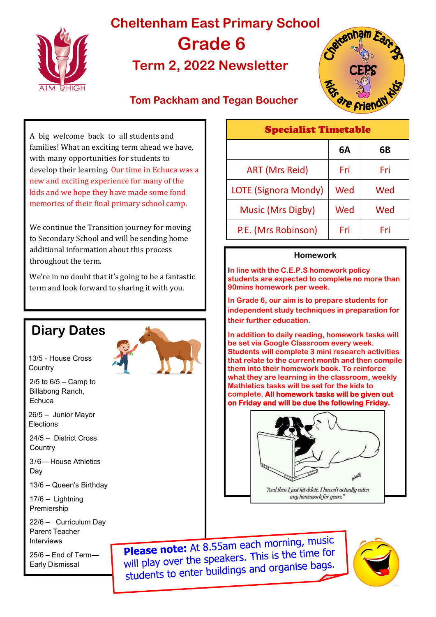

# **Cheltenham East Primary School Grade 6 Term 2, 2022 Newsletter**



### **Tom Packham and Tegan Boucher**

Specialist Timetable

A big welcome back to all students and families! What an exciting term ahead we have, with many opportunities for students to develop their learning. Our time in Echuca was a new and exciting experience for many of the kids and we hope they have made some fond memories of their final primary school camp. We continue the Transition journey for moving to Secondary School and will be sending home additional information about this process **Homework** throughout the term. We're in no doubt that it's going to be a fantastic term and look forward to sharing it with you. **90mins homework per week. their further education. Diary Dates** 13/5 - House Cross **Country**  $2/5$  to  $6/5$  – Camp to Billabong Ranch, **Echuca** Elections **Country** 13/6 – Queen's Birthday 22/6 – Curriculum Day **Please note:** At 8.55am each morning, music **Please note:** At 8.55am each morning the for<br>will play over the speakers. This is the time for



26/5 – Junior Mayor

24/5 – District Cross

3/6—House Athletics Day

17/6 – Lightning Premiership

Parent Teacher Interviews

25/6 – End of Term— Early Dismissal

will play over the speakers. This is the analysis students to enter buildings and organise bags.

| <b>Specialist Timetable</b> |     |     |
|-----------------------------|-----|-----|
|                             | 6A  | 6В  |
| <b>ART (Mrs Reid)</b>       | Fri | Fri |
| LOTE (Signora Mondy)        | Wed | Wed |
| <b>Music (Mrs Digby)</b>    | Wed | Wed |
| P.E. (Mrs Robinson)         | Fri | Fri |

**In line with the C.E.P.S homework policy students are expected to complete no more than** 

**In Grade 6, our aim is to prepare students for independent study techniques in preparation for** 

**In addition to daily reading, homework tasks will be set via Google Classroom every week. Students will complete 3 mini research activities that relate to the current month and then compile them into their homework book. To reinforce what they are learning in the classroom, weekly Mathletics tasks will be set for the kids to complete. All homework tasks will be given out on Friday and will be due the following Friday.** 

"And then I just hit delete. I haven't actually eaten any homework for years."